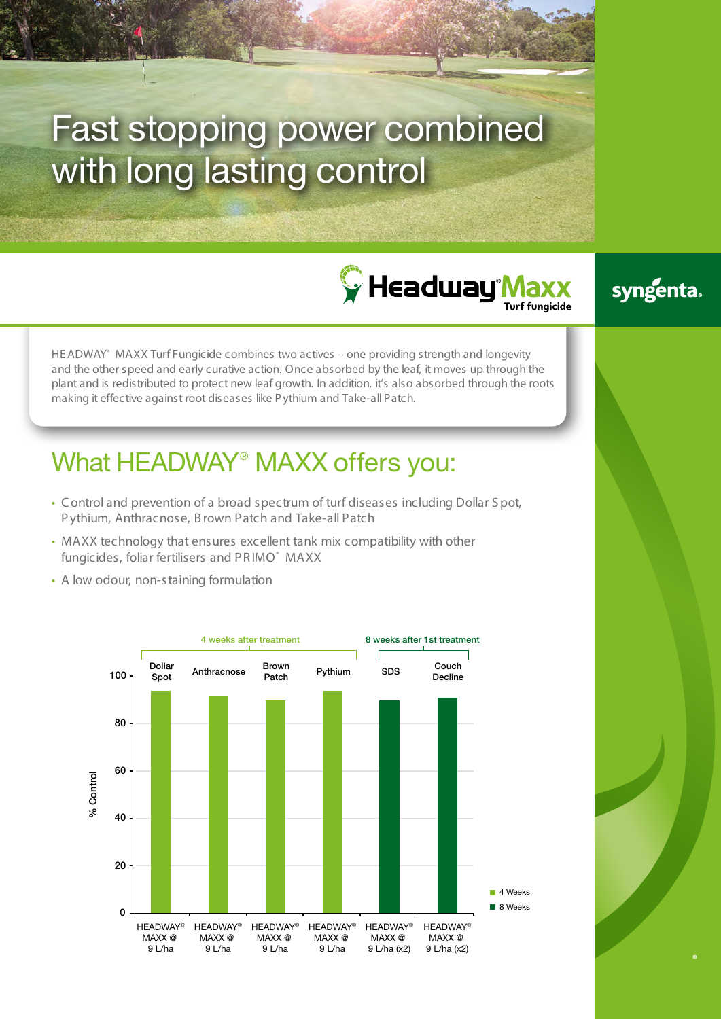# Fast stopping power combined with long lasting control





HE ADWAY® MAXX Turf Fungicide combines two actives – one providing strength and longevity and the other speed and early curative action. Once absorbed by the leaf, it moves up through the plant and is redistributed to protect new leaf growth. In addition, it's also absorbed through the roots making it effective against root diseases like P ythium and Take-all Patch.

## What HEADWAY<sup>®</sup> MAXX offers you:

- C ontrol and prevention of a broad spectrum of turf diseases including Dollar S pot, Pythium, Anthracnose, B rown Patch and Take-all Patch
- MAXX technology that ensures excellent tank mix compatibility with other fungicides, foliar fertilisers and PRIMO® MAXX
- A low odour, non-staining formulation